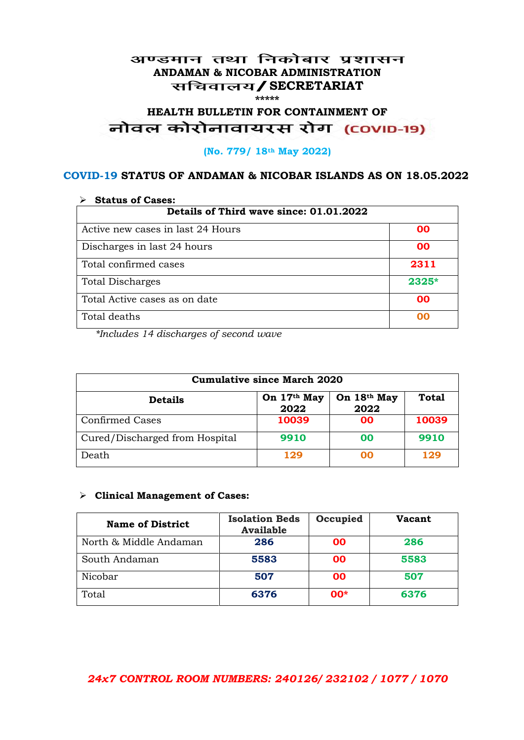### अण्डमान तथा निकोबार प्रशासन **ANDAMAN & NICOBAR ADMINISTRATION /SECRETARIAT \*\*\*\*\***

# HEALTH BULLETIN FOR CONTAINMENT OF<br>बोवल कोरोनावायरस रोग (COVID-19)

#### **(No. 779/ 18th May 2022)**

### **COVID-19 STATUS OF ANDAMAN & NICOBAR ISLANDS AS ON 18.05.2022**

| <b>Status of Cases:</b>                 |           |  |
|-----------------------------------------|-----------|--|
| Details of Third wave since: 01.01.2022 |           |  |
| Active new cases in last 24 Hours       | 00        |  |
| Discharges in last 24 hours             | 00        |  |
| Total confirmed cases                   | 2311      |  |
| <b>Total Discharges</b>                 | $2325*$   |  |
| Total Active cases as on date           | <b>OO</b> |  |
| Total deaths                            | OO        |  |

*\*Includes 14 discharges of second wave*

| <b>Cumulative since March 2020</b> |                     |                     |              |
|------------------------------------|---------------------|---------------------|--------------|
| <b>Details</b>                     | On 17th May<br>2022 | On 18th May<br>2022 | <b>Total</b> |
| <b>Confirmed Cases</b>             | 10039               | 00                  | 10039        |
| Cured/Discharged from Hospital     | 9910                | 00                  | 9910         |
| Death                              | 129                 | ററ                  | 129          |

#### **Clinical Management of Cases:**

| <b>Name of District</b> | <b>Isolation Beds</b><br><b>Available</b> | Occupied | <b>Vacant</b> |
|-------------------------|-------------------------------------------|----------|---------------|
| North & Middle Andaman  | 286                                       | 00       | 286           |
| South Andaman           | 5583                                      | 00       | 5583          |
| Nicobar                 | 507                                       | 00       | 507           |
| Total                   | 6376                                      | $00*$    | 6376          |

## *24x7 CONTROL ROOM NUMBERS: 240126/ 232102 / 1077 / 1070*